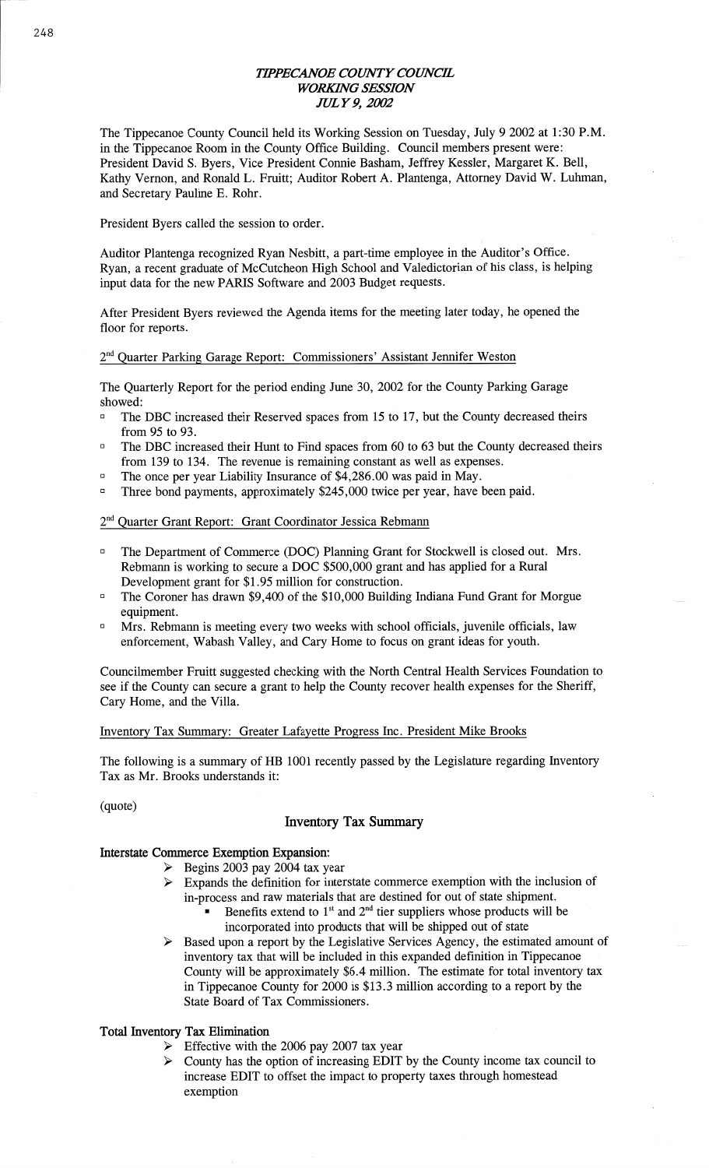## *TIPPECANOE COWTY COUNCE WORKING SESSION JULY* 9, *2002*

The Tippecanoe County Council held its Working **Session** on Tuesday, July 9 2002 at 1:30 P.M. in the Tippecanoe **Room** in the County Office Building. Council members present were: President David S. Byers, Vice President Connie Basham, Jeffrey Kessler, Margaret K. Bell, Kathy Vernon, and Ronald L. Fruitt; Auditor Robert A. Plantenga, Attorney David W. **Luhman,**  and Secretary Pauline E. **Rohr.** 

President Byers called the session to order.

Auditor Plantenga recognized Ryan Nesbitt, a part-time employee in the Auditor's Office. Ryan, a recent graduate of McCutcheon High School and Valedictorian of his class, is helping input data for the new **PARIS** Software and 2003 Budget requests.

After President Byers reviewed the **Agenda** items for the meeting later today, he opened the floor for reports.

#### 2"d Quarter Parking Garage Report: Commissioners' **Assistant** Jennifer Weston

The Quarterly Report for the period ending June 30, 2002 for the County Parking Garage showed:

- The DBC increased their Reserved spaces from 15 to 17, but the County decreased theirs from 95 to 93.
- **The DBC increased their Hunt to Find spaces from 60 to 63 but the County decreased theirs** from 139 to 134. The revenue is remaining constant as well as expenses.
- □ The once per year Liability Insurance of \$4,286.00 was paid in May.
- $\Box$  Three bond payments, approximately \$245,000 twice per year, have been paid.

## 2<sup>nd</sup> Quarter Grant Report: Grant Coordinator Jessica Rebmann

- **U** The Department of Commerce (DOC) **Planning** Grant for Stockwell is **closed** out. Mrs. Rebmann is working to secure a DOC \$500,000 grant and has applied for a Rural Development grant for \$1.95 million for construction.
- **The Coroner has drawn \$9,400 of the \$10,000 Building Indiana Fund Grant for Morgue** equipment.
- $\text{Mrs.}$  Rebmann is meeting every two weeks with school officials, juvenile officials, law enforcement, Wabash Valley, and Cary Home to focus on grant ideas for youth.

Councilmember Fruitt suggested checking with the North Central Health Services Foundation to see if the County can secure a **grant** to help the County recover health expenses for the Sheriff, Cary Home, and the Villa.

#### Inventory Tax Summary: Greater Lafayette Progress Inc. President Mike Brooks

The following is a summary of HB **1001** recently passed by the Legislature regarding Inventory Tax as Mr. Brooks **understands** it:

(quote)

## **Inventory** Tax **Summary**

## Interstate **Commerce Exemption Expansion:**

- > Begins 2003 pay 2004 tax year
- > Expands the definition for interstate commerce exemption with the **inclusion** of in-process and raw materials that are destined for out of state shipment.
	- Benefits extend to 1<sup>st</sup> and 2<sup>nd</sup> tier suppliers whose products will be incorporated into products **that** will be shipped out of state
- $\geq$  Based upon a report by the Legislative Services Agency, the estimated amount of inventory tax that will be included in this expanded definition in Tippecanoe County will be approximately \$6.4 million. The estimate for total inventory tax in Tippecanoe County for 2000 is \$13.3 **million** according to **a** repor<sup>t</sup>by the State Board of Tax Commissioners.

## **Total Inventory** Tax **Elimination**

- $\triangleright$  Effective with the 2006 pay 2007 tax year
- > County has the **option** of increasing **EDIT** by the County income tax council to increase EDIT to offset the impact to property taxes through homestead **exemption**